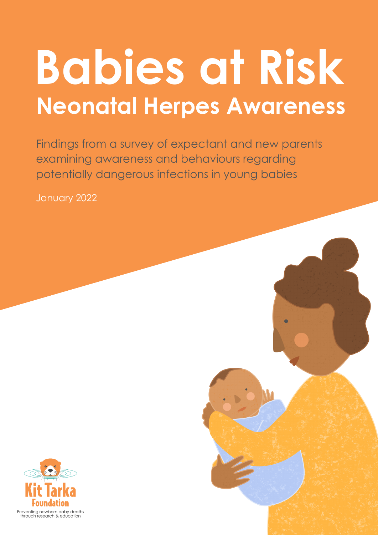# **Babies at Risk Neonatal Herpes Awareness**

Findings from a survey of expectant and new parents examining awareness and behaviours regarding potentially dangerous infections in young babies

January 2022

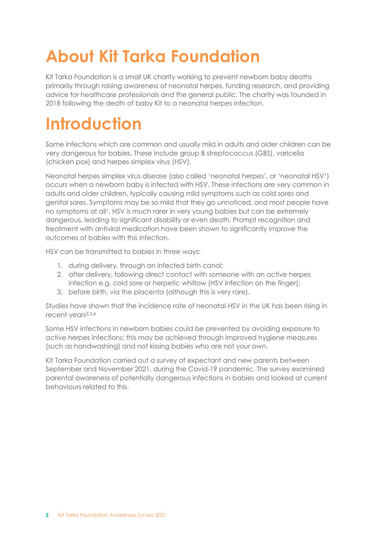# **About Kit Tarka Foundation**

Kit Tarka Foundation is a small UK charity working to prevent newborn baby deaths primarily through raising awareness of neonatal herpes, funding research, and providing advice for healthcare professionals and the general public. The charity was founded in 2018 following the death of baby Kit to a neonatal herpes infection.

# **Introduction**

Some infections which are common and usually mild in adults and older children can be very dangerous for babies. These include group B streptococcus (GBS), varicella (chicken pox) and herpes simplex virus (HSV).

Neonatal herpes simplex virus disease (also called 'neonatal herpes', or 'neonatal HSV') occurs when a newborn baby is infected with HSV. These infections are very common in adults and older children, typically causing mild symptoms such as cold sores and genital sores. Symptoms may be so mild that they go unnoticed, and most people have no symptoms at all1. HSV is much rarer in very young babies but can be extremely dangerous, leading to significant disability or even death. Prompt recognition and treatment with antiviral medication have been shown to significantly improve the outcomes of babies with this infection.

HSV can be transmitted to babies in three ways:

- 1. during delivery, through an infected birth canal;
- 2. after delivery, following direct contact with someone with an active herpes infection e.g. cold sore or herpetic whitlow (HSV infection on the finger);
- 3. before birth, via the placenta (although this is very rare).

Studies have shown that the incidence rate of neonatal HSV in the UK has been rising in recent years2,3,4

Some HSV infections in newborn babies could be prevented by avoiding exposure to active herpes infections; this may be achieved through improved hygiene measures (such as handwashing) and not kissing babies who are not your own.

Kit Tarka Foundation carried out a survey of expectant and new parents between September and November 2021, during the Covid-19 pandemic. The survey examined parental awareness of potentially dangerous infections in babies and looked at current behaviours related to this.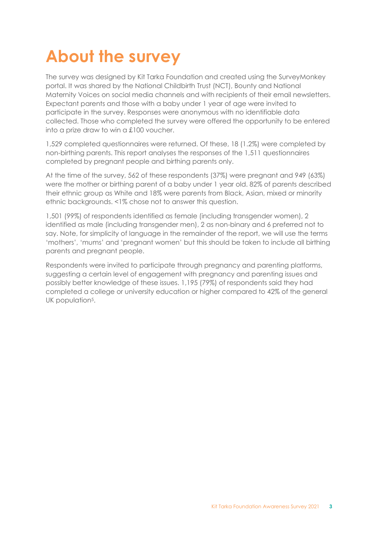# **About the survey**

The survey was designed by Kit Tarka Foundation and created using the SurveyMonkey portal. It was shared by the National Childbirth Trust (NCT), Bounty and National Maternity Voices on social media channels and with recipients of their email newsletters. Expectant parents and those with a baby under 1 year of age were invited to participate in the survey. Responses were anonymous with no identifiable data collected. Those who completed the survey were offered the opportunity to be entered into a prize draw to win a £100 voucher.

1,529 completed questionnaires were returned. Of these, 18 (1.2%) were completed by non-birthing parents. This report analyses the responses of the 1,511 questionnaires completed by pregnant people and birthing parents only.

At the time of the survey, 562 of these respondents (37%) were pregnant and 949 (63%) were the mother or birthing parent of a baby under 1 year old. 82% of parents described their ethnic group as White and 18% were parents from Black, Asian, mixed or minority ethnic backgrounds. <1% chose not to answer this question.

1,501 (99%) of respondents identified as female (including transgender women), 2 identified as male (including transgender men), 2 as non-binary and 6 preferred not to say. Note, for simplicity of language in the remainder of the report, we will use the terms 'mothers', 'mums' and 'pregnant women' but this should be taken to include all birthing parents and pregnant people.

Respondents were invited to participate through pregnancy and parenting platforms, suggesting a certain level of engagement with pregnancy and parenting issues and possibly better knowledge of these issues. 1,195 (79%) of respondents said they had completed a college or university education or higher compared to 42% of the general UK population<sup>5</sup>.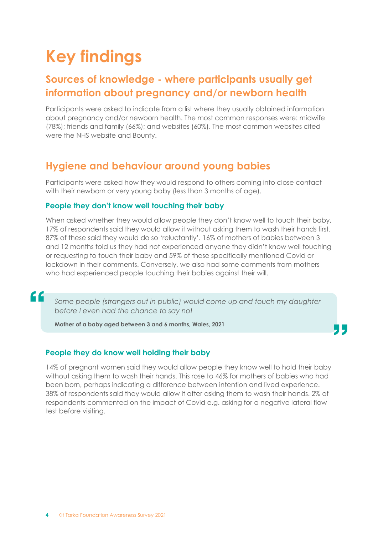# **Key findings**

### **Sources of knowledge - where participants usually get information about pregnancy and/or newborn health**

Participants were asked to indicate from a list where they usually obtained information about pregnancy and/or newborn health. The most common responses were: midwife (78%); friends and family (66%); and websites (60%). The most common websites cited were the NHS website and Bounty.

### **Hygiene and behaviour around young babies**

Participants were asked how they would respond to others coming into close contact with their newborn or very young baby (less than 3 months of age).

#### **People they don't know well touching their baby**

When asked whether they would allow people they don't know well to touch their baby, 17% of respondents said they would allow it without asking them to wash their hands first. 87% of these said they would do so 'reluctantly'. 16% of mothers of babies between 3 and 12 months told us they had not experienced anyone they didn't know well touching or requesting to touch their baby and 59% of these specifically mentioned Covid or lockdown in their comments. Conversely, we also had some comments from mothers who had experienced people touching their babies against their will.

Some people (strangers out in public) would come up and touch my daughter *before I even had the chance to say no!*

**Mother of a baby aged between 3 and 6 months, Wales, 2021**

#### **People they do know well holding their baby**

 $\epsilon$ 

14% of pregnant women said they would allow people they know well to hold their baby without asking them to wash their hands. This rose to 46% for mothers of babies who had been born, perhaps indicating a difference between intention and lived experience. 38% of respondents said they would allow it after asking them to wash their hands. 2% of respondents commented on the impact of Covid e.g. asking for a negative lateral flow test before visiting.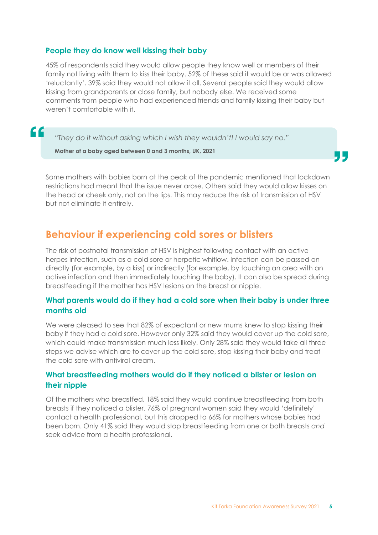#### **People they do know well kissing their baby**

45% of respondents said they would allow people they know well or members of their family not living with them to kiss their baby. 52% of these said it would be or was allowed 'reluctantly'. 39% said they would not allow it all. Several people said they would allow kissing from grandparents or close family, but nobody else. We received some comments from people who had experienced friends and family kissing their baby but weren't comfortable with it.

*"They do it without asking which I wish they wouldn't! I would say no."*

**Mother of a baby aged between 0 and 3 months, UK, 2021**

"

Some mothers with babies born at the peak of the pandemic mentioned that lockdown restrictions had meant that the issue never arose. Others said they would allow kisses on the head or cheek only, not on the lips. This may reduce the risk of transmission of HSV but not eliminate it entirely.

### **Behaviour if experiencing cold sores or blisters**

The risk of postnatal transmission of HSV is highest following contact with an active herpes infection, such as a cold sore or herpetic whitlow. Infection can be passed on directly (for example, by a kiss) or indirectly (for example, by touching an area with an active infection and then immediately touching the baby). It can also be spread during breastfeeding if the mother has HSV lesions on the breast or nipple.

#### **What parents would do if they had a cold sore when their baby is under three months old**

We were pleased to see that 82% of expectant or new mums knew to stop kissing their baby if they had a cold sore. However only 32% said they would cover up the cold sore, which could make transmission much less likely. Only 28% said they would take all three steps we advise which are to cover up the cold sore, stop kissing their baby and treat the cold sore with antiviral cream.

#### **What breastfeeding mothers would do if they noticed a blister or lesion on their nipple**

Of the mothers who breastfed, 18% said they would continue breastfeeding from both breasts if they noticed a blister. 76% of pregnant women said they would 'definitely' contact a health professional, but this dropped to 66% for mothers whose babies had been born. Only 41% said they would stop breastfeeding from one or both breasts *and* seek advice from a health professional.

JL.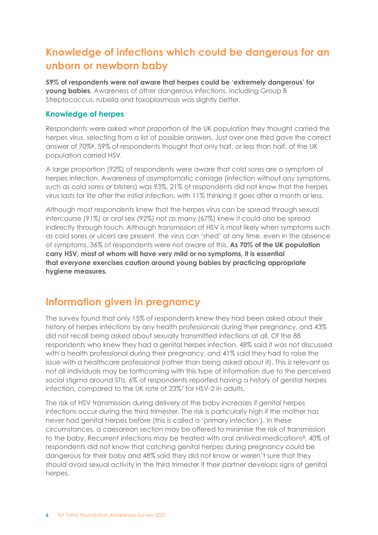### **Knowledge of infections which could be dangerous for an unborn or newborn baby**

**59% of respondents were not aware that herpes could be 'extremely dangerous' for young babies.** Awareness of other dangerous infections, including Group B Streptococcus, rubella and toxoplasmosis was slightly better.

#### **Knowledge of herpes**

Respondents were asked what proportion of the UK population they thought carried the herpes virus, selecting from a list of possible answers. Just over one third gave the correct answer of 70%6. 59% of respondents thought that only half, or less than half, of the UK population carried HSV.

A large proportion (92%) of respondents were aware that cold sores are a symptom of herpes infection. Awareness of asymptomatic carriage (infection without any symptoms, such as cold sores or blisters) was 93%. 21% of respondents did not know that the herpes virus lasts for life after the initial infection, with 11% thinking it goes after a month or less.

Although most respondents knew that the herpes virus can be spread through sexual intercourse (91%) or oral sex (92%) not as many (67%) knew it could also be spread indirectly through touch. Although transmission of HSV is most likely when symptoms such as cold sores or ulcers are present, the virus can 'shed' at any time, even in the absence of symptoms. 36% of respondents were not aware of this. **As 70% of the UK population carry HSV, most of whom will have very mild or no symptoms, it is essential that** *everyone* **exercises caution around young babies by practicing appropriate hygiene measures.**

### **Information given in pregnancy**

The survey found that only 15% of respondents knew they had been asked about their history of herpes infections by any health professionals during their pregnancy, and 43% did not recall being asked about sexually transmitted infections at all. Of the 88 respondents who knew they had a genital herpes infection, 48% said it was not discussed with a health professional during their pregnancy, and 41% said they had to raise the issue with a healthcare professional (rather than being asked about it). This is relevant as not all individuals may be forthcoming with this type of information due to the perceived social stigma around STIs. 6% of respondents reported having a history of genital herpes infection, compared to the UK rate of 23%7 for HSV-2 in adults.

The risk of HSV transmission during delivery of the baby increases if genital herpes infections occur during the third trimester. The risk is particularly high if the mother has never had genital herpes before (this is called a 'primary infection'). In these circumstances, a caesarean section may be offered to minimise the risk of transmission to the baby. Recurrent infections may be treated with oral antiviral medications8. 40% of respondents did not know that catching genital herpes during pregnancy could be dangerous for their baby and 48% said they did not know or weren't sure that they should avoid sexual activity in the third trimester if their partner develops signs of genital herpes.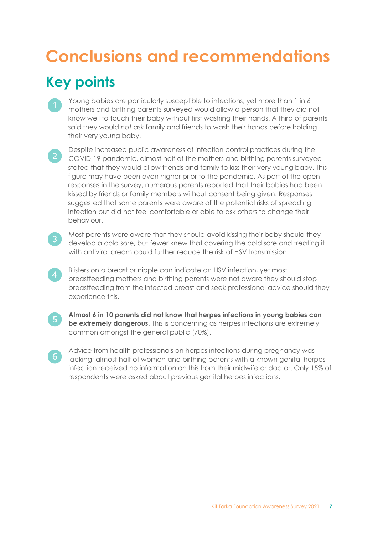# **Conclusions and recommendations Key points**

- Young babies are particularly susceptible to infections, yet more than 1 in 6 mothers and birthing parents surveyed would allow a person that they did not know well to touch their baby without first washing their hands. A third of parents said they would *not* ask family and friends to wash their hands before holding their very young baby.
- Despite increased public awareness of infection control practices during the **2** COVID-19 pandemic, almost half of the mothers and birthing parents surveyed stated that they would allow friends and family to kiss their very young baby. This figure may have been even higher prior to the pandemic. As part of the open responses in the survey, numerous parents reported that their babies had been kissed by friends or family members without consent being given. Responses suggested that some parents were aware of the potential risks of spreading infection but did not feel comfortable or able to ask others to change their behaviour.
- 

 $\overline{4}$ 

Most parents were aware that they should avoid kissing their baby should they develop a cold sore, but fewer knew that covering the cold sore and treating it with antiviral cream could further reduce the risk of HSV transmission.

- Blisters on a breast or nipple can indicate an HSV infection, yet most breastfeeding mothers and birthing parents were not aware they should stop breastfeeding from the infected breast and seek professional advice should they experience this.
- $\sqrt{5}$

 $6<sup>1</sup>$ 

**Almost 6 in 10 parents did not know that herpes infections in young babies can be extremely dangerous**. This is concerning as herpes infections are extremely common amongst the general public (70%).

Advice from health professionals on herpes infections during pregnancy was lacking; almost half of women and birthing parents with a known genital herpes infection received no information on this from their midwife or doctor. Only 15% of respondents were asked about previous genital herpes infections.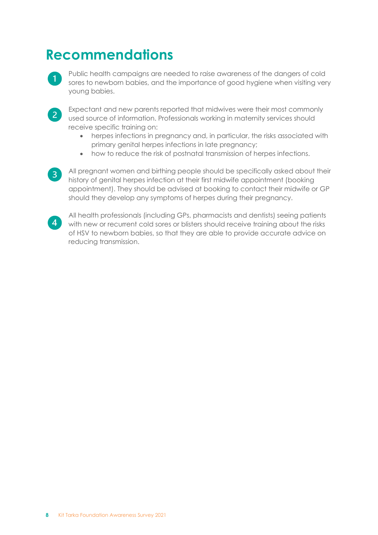# **Recommendations**

Public health campaigns are needed to raise awareness of the dangers of cold sores to newborn babies, and the importance of good hygiene when visiting very young babies.



Expectant and new parents reported that midwives were their most commonly used source of information. Professionals working in maternity services should receive specific training on:

- herpes infections in pregnancy and, in particular, the risks associated with primary genital herpes infections in late pregnancy;
- how to reduce the risk of postnatal transmission of herpes infections.

All pregnant women and birthing people should be specifically asked about their  $\overline{3}$ history of genital herpes infection at their first midwife appointment (booking appointment). They should be advised at booking to contact their midwife or GP should they develop any symptoms of herpes during their pregnancy.



All health professionals (including GPs, pharmacists and dentists) seeing patients with new or recurrent cold sores or blisters should receive training about the risks of HSV to newborn babies, so that they are able to provide accurate advice on reducing transmission.